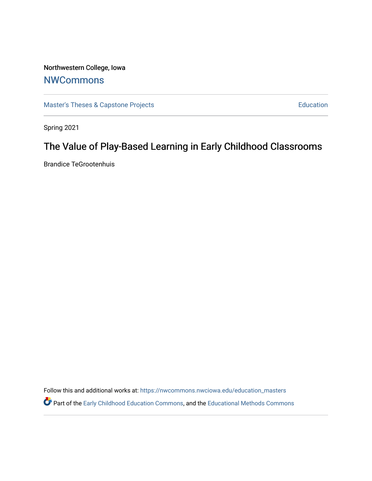## Northwestern College, Iowa **[NWCommons](https://nwcommons.nwciowa.edu/)**

[Master's Theses & Capstone Projects](https://nwcommons.nwciowa.edu/education_masters) **Education** Education

Spring 2021

# The Value of Play-Based Learning in Early Childhood Classrooms

Brandice TeGrootenhuis

Follow this and additional works at: [https://nwcommons.nwciowa.edu/education\\_masters](https://nwcommons.nwciowa.edu/education_masters?utm_source=nwcommons.nwciowa.edu%2Feducation_masters%2F303&utm_medium=PDF&utm_campaign=PDFCoverPages)

Part of the [Early Childhood Education Commons,](http://network.bepress.com/hgg/discipline/1377?utm_source=nwcommons.nwciowa.edu%2Feducation_masters%2F303&utm_medium=PDF&utm_campaign=PDFCoverPages) and the [Educational Methods Commons](http://network.bepress.com/hgg/discipline/1227?utm_source=nwcommons.nwciowa.edu%2Feducation_masters%2F303&utm_medium=PDF&utm_campaign=PDFCoverPages)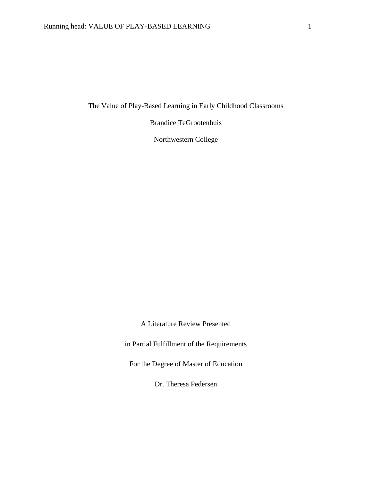The Value of Play-Based Learning in Early Childhood Classrooms

Brandice TeGrootenhuis

Northwestern College

A Literature Review Presented

in Partial Fulfillment of the Requirements

For the Degree of Master of Education

Dr. Theresa Pedersen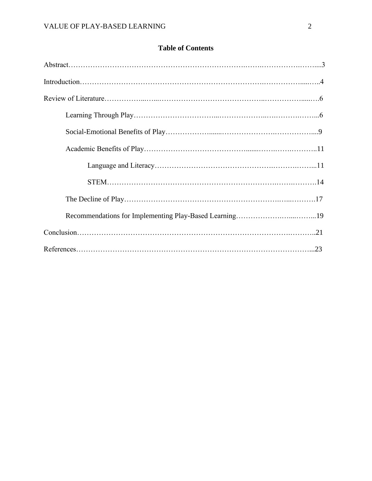### **Table of Contents**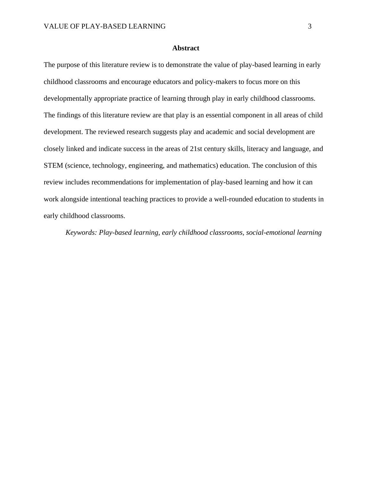#### **Abstract**

The purpose of this literature review is to demonstrate the value of play-based learning in early childhood classrooms and encourage educators and policy-makers to focus more on this developmentally appropriate practice of learning through play in early childhood classrooms. The findings of this literature review are that play is an essential component in all areas of child development. The reviewed research suggests play and academic and social development are closely linked and indicate success in the areas of 21st century skills, literacy and language, and STEM (science, technology, engineering, and mathematics) education. The conclusion of this review includes recommendations for implementation of play-based learning and how it can work alongside intentional teaching practices to provide a well-rounded education to students in early childhood classrooms.

*Keywords: Play-based learning, early childhood classrooms, social-emotional learning*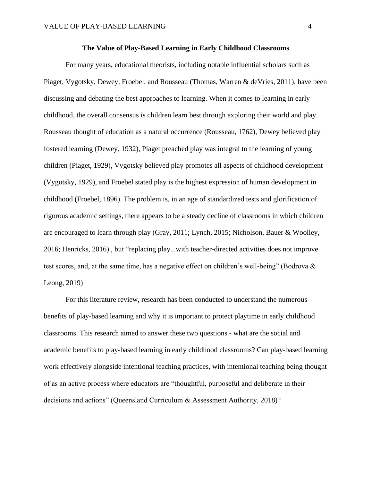#### **The Value of Play-Based Learning in Early Childhood Classrooms**

For many years, educational theorists, including notable influential scholars such as Piaget, Vygotsky, Dewey, Froebel, and Rousseau (Thomas, Warren & deVries, 2011), have been discussing and debating the best approaches to learning. When it comes to learning in early childhood, the overall consensus is children learn best through exploring their world and play. Rousseau thought of education as a natural occurrence (Rousseau, 1762), Dewey believed play fostered learning (Dewey, 1932), Piaget preached play was integral to the learning of young children (Piaget, 1929), Vygotsky believed play promotes all aspects of childhood development (Vygotsky, 1929), and Froebel stated play is the highest expression of human development in childhood (Froebel, 1896). The problem is, in an age of standardized tests and glorification of rigorous academic settings, there appears to be a steady decline of classrooms in which children are encouraged to learn through play (Gray, 2011; Lynch, 2015; Nicholson, Bauer & Woolley, 2016; Henricks, 2016) , but "replacing play...with teacher-directed activities does not improve test scores, and, at the same time, has a negative effect on children's well-being" (Bodrova & Leong, 2019)

For this literature review, research has been conducted to understand the numerous benefits of play-based learning and why it is important to protect playtime in early childhood classrooms. This research aimed to answer these two questions - what are the social and academic benefits to play-based learning in early childhood classrooms? Can play-based learning work effectively alongside intentional teaching practices, with intentional teaching being thought of as an active process where educators are "thoughtful, purposeful and deliberate in their decisions and actions" (Queensland Curriculum & Assessment Authority, 2018)?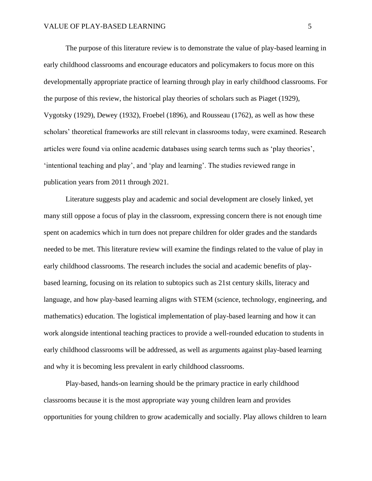The purpose of this literature review is to demonstrate the value of play-based learning in early childhood classrooms and encourage educators and policymakers to focus more on this developmentally appropriate practice of learning through play in early childhood classrooms. For the purpose of this review, the historical play theories of scholars such as Piaget (1929), Vygotsky (1929), Dewey (1932), Froebel (1896), and Rousseau (1762), as well as how these scholars' theoretical frameworks are still relevant in classrooms today, were examined. Research articles were found via online academic databases using search terms such as 'play theories', 'intentional teaching and play', and 'play and learning'. The studies reviewed range in publication years from 2011 through 2021.

Literature suggests play and academic and social development are closely linked, yet many still oppose a focus of play in the classroom, expressing concern there is not enough time spent on academics which in turn does not prepare children for older grades and the standards needed to be met. This literature review will examine the findings related to the value of play in early childhood classrooms. The research includes the social and academic benefits of playbased learning, focusing on its relation to subtopics such as 21st century skills, literacy and language, and how play-based learning aligns with STEM (science, technology, engineering, and mathematics) education. The logistical implementation of play-based learning and how it can work alongside intentional teaching practices to provide a well-rounded education to students in early childhood classrooms will be addressed, as well as arguments against play-based learning and why it is becoming less prevalent in early childhood classrooms.

Play-based, hands-on learning should be the primary practice in early childhood classrooms because it is the most appropriate way young children learn and provides opportunities for young children to grow academically and socially. Play allows children to learn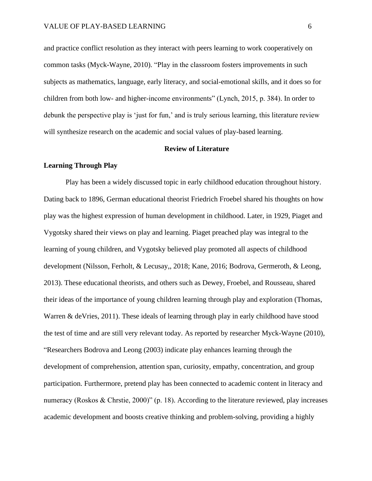and practice conflict resolution as they interact with peers learning to work cooperatively on common tasks (Myck-Wayne, 2010). "Play in the classroom fosters improvements in such subjects as mathematics, language, early literacy, and social-emotional skills, and it does so for children from both low- and higher-income environments" (Lynch, 2015, p. 384). In order to debunk the perspective play is 'just for fun,' and is truly serious learning, this literature review will synthesize research on the academic and social values of play-based learning.

#### **Review of Literature**

#### **Learning Through Play**

Play has been a widely discussed topic in early childhood education throughout history. Dating back to 1896, German educational theorist Friedrich Froebel shared his thoughts on how play was the highest expression of human development in childhood. Later, in 1929, Piaget and Vygotsky shared their views on play and learning. Piaget preached play was integral to the learning of young children, and Vygotsky believed play promoted all aspects of childhood development (Nilsson, Ferholt, & Lecusay,, 2018; Kane, 2016; Bodrova, Germeroth, & Leong, 2013). These educational theorists, and others such as Dewey, Froebel, and Rousseau, shared their ideas of the importance of young children learning through play and exploration (Thomas, Warren & deVries, 2011). These ideals of learning through play in early childhood have stood the test of time and are still very relevant today. As reported by researcher Myck-Wayne (2010), "Researchers Bodrova and Leong (2003) indicate play enhances learning through the development of comprehension, attention span, curiosity, empathy, concentration, and group participation. Furthermore, pretend play has been connected to academic content in literacy and numeracy (Roskos & Chrstie, 2000)" (p. 18). According to the literature reviewed, play increases academic development and boosts creative thinking and problem-solving, providing a highly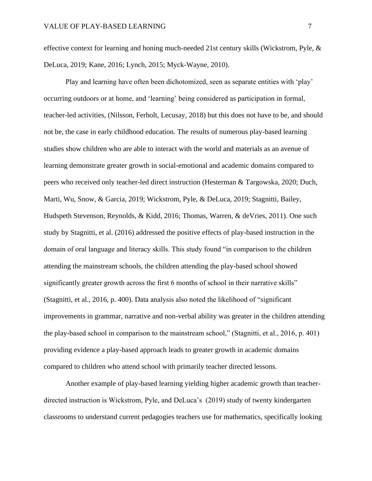effective context for learning and honing much-needed 21st century skills (Wickstrom, Pyle, & DeLuca, 2019; Kane, 2016; Lynch, 2015; Myck-Wayne, 2010).

Play and learning have often been dichotomized, seen as separate entities with 'play' occurring outdoors or at home, and 'learning' being considered as participation in formal, teacher-led activities, (Nilsson, Ferholt, Lecusay, 2018) but this does not have to be, and should not be, the case in early childhood education. The results of numerous play-based learning studies show children who are able to interact with the world and materials as an avenue of learning demonstrate greater growth in social-emotional and academic domains compared to peers who received only teacher-led direct instruction (Hesterman & Targowska, 2020; Duch, Marti, Wu, Snow, & Garcia, 2019; Wickstrom, Pyle, & DeLuca, 2019; Stagnitti, Bailey, Hudspeth Stevenson, Reynolds, & Kidd, 2016; Thomas, Warren, & deVries, 2011). One such study by Stagnitti, et al. (2016) addressed the positive effects of play-based instruction in the domain of oral language and literacy skills. This study found "in comparison to the children attending the mainstream schools, the children attending the play-based school showed significantly greater growth across the first 6 months of school in their narrative skills" (Stagnitti, et al., 2016, p. 400). Data analysis also noted the likelihood of "significant improvements in grammar, narrative and non-verbal ability was greater in the children attending the play-based school in comparison to the mainstream school," (Stagnitti, et al., 2016, p. 401) providing evidence a play-based approach leads to greater growth in academic domains compared to children who attend school with primarily teacher directed lessons.

Another example of play-based learning yielding higher academic growth than teacherdirected instruction is Wickstrom, Pyle, and DeLuca's (2019) study of twenty kindergarten classrooms to understand current pedagogies teachers use for mathematics, specifically looking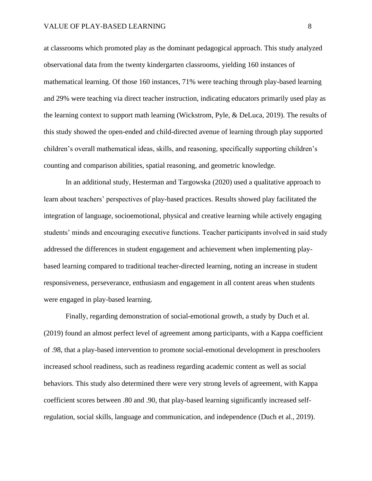at classrooms which promoted play as the dominant pedagogical approach. This study analyzed observational data from the twenty kindergarten classrooms, yielding 160 instances of mathematical learning. Of those 160 instances, 71% were teaching through play-based learning and 29% were teaching via direct teacher instruction, indicating educators primarily used play as the learning context to support math learning (Wickstrom, Pyle, & DeLuca, 2019). The results of this study showed the open-ended and child-directed avenue of learning through play supported children's overall mathematical ideas, skills, and reasoning, specifically supporting children's counting and comparison abilities, spatial reasoning, and geometric knowledge.

In an additional study, Hesterman and Targowska (2020) used a qualitative approach to learn about teachers' perspectives of play-based practices. Results showed play facilitated the integration of language, socioemotional, physical and creative learning while actively engaging students' minds and encouraging executive functions. Teacher participants involved in said study addressed the differences in student engagement and achievement when implementing playbased learning compared to traditional teacher-directed learning, noting an increase in student responsiveness, perseverance, enthusiasm and engagement in all content areas when students were engaged in play-based learning.

Finally, regarding demonstration of social-emotional growth, a study by Duch et al. (2019) found an almost perfect level of agreement among participants, with a Kappa coefficient of .98, that a play-based intervention to promote social-emotional development in preschoolers increased school readiness, such as readiness regarding academic content as well as social behaviors. This study also determined there were very strong levels of agreement, with Kappa coefficient scores between .80 and .90, that play-based learning significantly increased selfregulation, social skills, language and communication, and independence (Duch et al., 2019).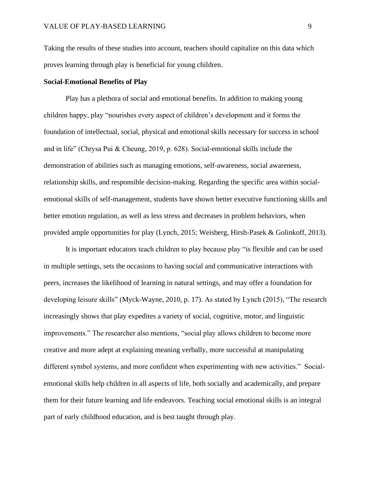Taking the results of these studies into account, teachers should capitalize on this data which proves learning through play is beneficial for young children.

#### **Social-Emotional Benefits of Play**

Play has a plethora of social and emotional benefits. In addition to making young children happy, play "nourishes every aspect of children's development and it forms the foundation of intellectual, social, physical and emotional skills necessary for success in school and in life" (Chrysa Pui & Cheung, 2019, p. 628). Social-emotional skills include the demonstration of abilities such as managing emotions, self-awareness, social awareness, relationship skills, and responsible decision-making. Regarding the specific area within socialemotional skills of self-management, students have shown better executive functioning skills and better emotion regulation, as well as less stress and decreases in problem behaviors, when provided ample opportunities for play (Lynch, 2015; Weisberg, Hirsh-Pasek & Golinkoff, 2013).

It is important educators teach children to play because play "is flexible and can be used in multiple settings, sets the occasions to having social and communicative interactions with peers, increases the likelihood of learning in natural settings, and may offer a foundation for developing leisure skills" (Myck-Wayne, 2010, p. 17). As stated by Lynch (2015), "The research increasingly shows that play expedites a variety of social, cognitive, motor, and linguistic improvements." The researcher also mentions, "social play allows children to become more creative and more adept at explaining meaning verbally, more successful at manipulating different symbol systems, and more confident when experimenting with new activities." Socialemotional skills help children in all aspects of life, both socially and academically, and prepare them for their future learning and life endeavors. Teaching social emotional skills is an integral part of early childhood education, and is best taught through play.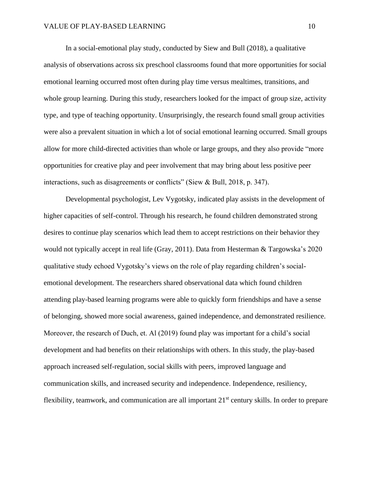In a social-emotional play study, conducted by Siew and Bull (2018), a qualitative analysis of observations across six preschool classrooms found that more opportunities for social emotional learning occurred most often during play time versus mealtimes, transitions, and whole group learning. During this study, researchers looked for the impact of group size, activity type, and type of teaching opportunity. Unsurprisingly, the research found small group activities were also a prevalent situation in which a lot of social emotional learning occurred. Small groups allow for more child-directed activities than whole or large groups, and they also provide "more opportunities for creative play and peer involvement that may bring about less positive peer interactions, such as disagreements or conflicts" (Siew & Bull, 2018, p. 347).

Developmental psychologist, Lev Vygotsky, indicated play assists in the development of higher capacities of self-control. Through his research, he found children demonstrated strong desires to continue play scenarios which lead them to accept restrictions on their behavior they would not typically accept in real life (Gray, 2011). Data from Hesterman & Targowska's 2020 qualitative study echoed Vygotsky's views on the role of play regarding children's socialemotional development. The researchers shared observational data which found children attending play-based learning programs were able to quickly form friendships and have a sense of belonging, showed more social awareness, gained independence, and demonstrated resilience. Moreover, the research of Duch, et. Al (2019) found play was important for a child's social development and had benefits on their relationships with others. In this study, the play-based approach increased self-regulation, social skills with peers, improved language and communication skills, and increased security and independence. Independence, resiliency, flexibility, teamwork, and communication are all important  $21<sup>st</sup>$  century skills. In order to prepare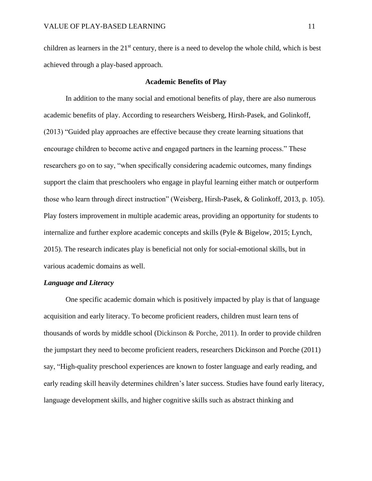children as learners in the  $21<sup>st</sup>$  century, there is a need to develop the whole child, which is best achieved through a play-based approach.

#### **Academic Benefits of Play**

In addition to the many social and emotional benefits of play, there are also numerous academic benefits of play. According to researchers Weisberg, Hirsh-Pasek, and Golinkoff, (2013) "Guided play approaches are effective because they create learning situations that encourage children to become active and engaged partners in the learning process." These researchers go on to say, "when specifically considering academic outcomes, many findings support the claim that preschoolers who engage in playful learning either match or outperform those who learn through direct instruction" (Weisberg, Hirsh-Pasek, & Golinkoff, 2013, p. 105). Play fosters improvement in multiple academic areas, providing an opportunity for students to internalize and further explore academic concepts and skills (Pyle & Bigelow, 2015; Lynch, 2015). The research indicates play is beneficial not only for social-emotional skills, but in various academic domains as well.

#### *Language and Literacy*

One specific academic domain which is positively impacted by play is that of language acquisition and early literacy. To become proficient readers, children must learn tens of thousands of words by middle school (Dickinson & Porche, 2011). In order to provide children the jumpstart they need to become proficient readers, researchers Dickinson and Porche (2011) say, "High-quality preschool experiences are known to foster language and early reading, and early reading skill heavily determines children's later success. Studies have found early literacy, language development skills, and higher cognitive skills such as abstract thinking and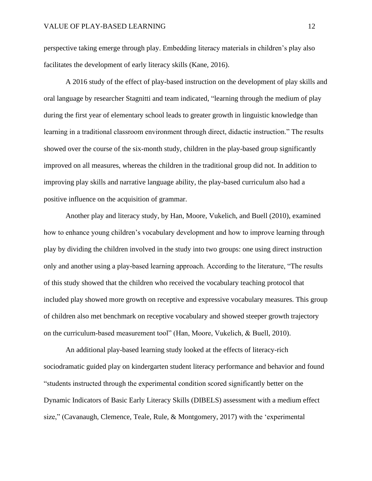perspective taking emerge through play. Embedding literacy materials in children's play also facilitates the development of early literacy skills (Kane, 2016).

A 2016 study of the effect of play-based instruction on the development of play skills and oral language by researcher Stagnitti and team indicated, "learning through the medium of play during the first year of elementary school leads to greater growth in linguistic knowledge than learning in a traditional classroom environment through direct, didactic instruction." The results showed over the course of the six-month study, children in the play-based group significantly improved on all measures, whereas the children in the traditional group did not. In addition to improving play skills and narrative language ability, the play-based curriculum also had a positive influence on the acquisition of grammar.

Another play and literacy study, by Han, Moore, Vukelich, and Buell (2010), examined how to enhance young children's vocabulary development and how to improve learning through play by dividing the children involved in the study into two groups: one using direct instruction only and another using a play-based learning approach. According to the literature, "The results of this study showed that the children who received the vocabulary teaching protocol that included play showed more growth on receptive and expressive vocabulary measures. This group of children also met benchmark on receptive vocabulary and showed steeper growth trajectory on the curriculum-based measurement tool" (Han, Moore, Vukelich, & Buell, 2010).

An additional play-based learning study looked at the effects of literacy-rich sociodramatic guided play on kindergarten student literacy performance and behavior and found "students instructed through the experimental condition scored significantly better on the Dynamic Indicators of Basic Early Literacy Skills (DIBELS) assessment with a medium effect size," (Cavanaugh, Clemence, Teale, Rule, & Montgomery, 2017) with the 'experimental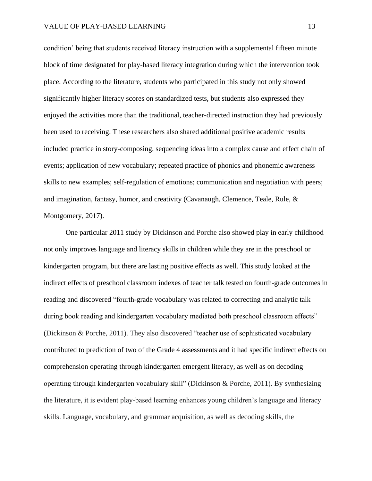condition' being that students received literacy instruction with a supplemental fifteen minute block of time designated for play-based literacy integration during which the intervention took place. According to the literature, students who participated in this study not only showed significantly higher literacy scores on standardized tests, but students also expressed they enjoyed the activities more than the traditional, teacher-directed instruction they had previously been used to receiving. These researchers also shared additional positive academic results included practice in story-composing, sequencing ideas into a complex cause and effect chain of events; application of new vocabulary; repeated practice of phonics and phonemic awareness skills to new examples; self-regulation of emotions; communication and negotiation with peers; and imagination, fantasy, humor, and creativity (Cavanaugh, Clemence, Teale, Rule, & Montgomery, 2017).

One particular 2011 study by Dickinson and Porche also showed play in early childhood not only improves language and literacy skills in children while they are in the preschool or kindergarten program, but there are lasting positive effects as well. This study looked at the indirect effects of preschool classroom indexes of teacher talk tested on fourth-grade outcomes in reading and discovered "fourth-grade vocabulary was related to correcting and analytic talk during book reading and kindergarten vocabulary mediated both preschool classroom effects" (Dickinson & Porche, 2011). They also discovered "teacher use of sophisticated vocabulary contributed to prediction of two of the Grade 4 assessments and it had specific indirect effects on comprehension operating through kindergarten emergent literacy, as well as on decoding operating through kindergarten vocabulary skill" (Dickinson & Porche, 2011). By synthesizing the literature, it is evident play-based learning enhances young children's language and literacy skills. Language, vocabulary, and grammar acquisition, as well as decoding skills, the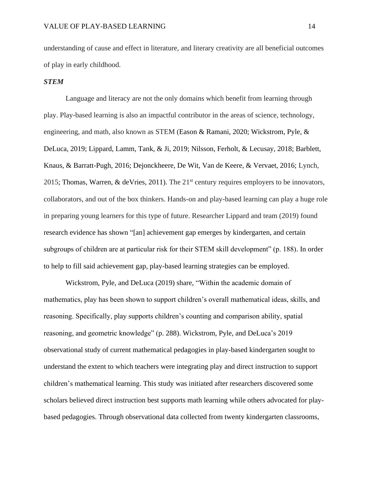understanding of cause and effect in literature, and literary creativity are all beneficial outcomes of play in early childhood.

#### *STEM*

Language and literacy are not the only domains which benefit from learning through play. Play-based learning is also an impactful contributor in the areas of science, technology, engineering, and math, also known as STEM (Eason & Ramani, 2020; Wickstrom, Pyle, & DeLuca, 2019; Lippard, Lamm, Tank, & Ji, 2019; Nilsson, Ferholt, & Lecusay, 2018; Barblett, Knaus, & Barratt-Pugh, 2016; Dejonckheere, De Wit, Van de Keere, & Vervaet, 2016; Lynch, 2015; Thomas, Warren, & deVries, 2011). The  $21<sup>st</sup>$  century requires employers to be innovators, collaborators, and out of the box thinkers. Hands-on and play-based learning can play a huge role in preparing young learners for this type of future. Researcher Lippard and team (2019) found research evidence has shown "[an] achievement gap emerges by kindergarten, and certain subgroups of children are at particular risk for their STEM skill development" (p. 188). In order to help to fill said achievement gap, play-based learning strategies can be employed.

Wickstrom, Pyle, and DeLuca (2019) share, "Within the academic domain of mathematics, play has been shown to support children's overall mathematical ideas, skills, and reasoning. Specifically, play supports children's counting and comparison ability, spatial reasoning, and geometric knowledge" (p. 288). Wickstrom, Pyle, and DeLuca's 2019 observational study of current mathematical pedagogies in play-based kindergarten sought to understand the extent to which teachers were integrating play and direct instruction to support children's mathematical learning. This study was initiated after researchers discovered some scholars believed direct instruction best supports math learning while others advocated for playbased pedagogies. Through observational data collected from twenty kindergarten classrooms,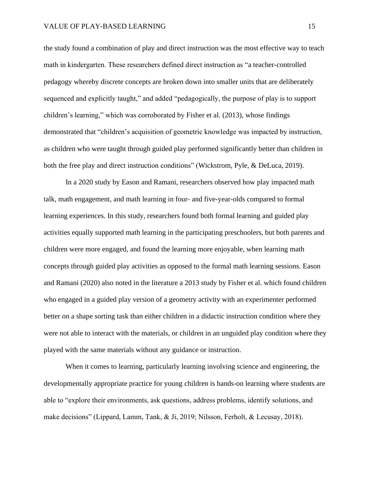the study found a combination of play and direct instruction was the most effective way to teach math in kindergarten. These researchers defined direct instruction as "a teacher-controlled pedagogy whereby discrete concepts are broken down into smaller units that are deliberately sequenced and explicitly taught," and added "pedagogically, the purpose of play is to support children's learning," which was corroborated by Fisher et al. (2013), whose findings demonstrated that "children's acquisition of geometric knowledge was impacted by instruction, as children who were taught through guided play performed significantly better than children in both the free play and direct instruction conditions" (Wickstrom, Pyle, & DeLuca, 2019).

In a 2020 study by Eason and Ramani, researchers observed how play impacted math talk, math engagement, and math learning in four- and five-year-olds compared to formal learning experiences. In this study, researchers found both formal learning and guided play activities equally supported math learning in the participating preschoolers, but both parents and children were more engaged, and found the learning more enjoyable, when learning math concepts through guided play activities as opposed to the formal math learning sessions. Eason and Ramani (2020) also noted in the literature a 2013 study by Fisher et al. which found children who engaged in a guided play version of a geometry activity with an experimenter performed better on a shape sorting task than either children in a didactic instruction condition where they were not able to interact with the materials, or children in an unguided play condition where they played with the same materials without any guidance or instruction.

When it comes to learning, particularly learning involving science and engineering, the developmentally appropriate practice for young children is hands-on learning where students are able to "explore their environments, ask questions, address problems, identify solutions, and make decisions" (Lippard, Lamm, Tank, & Ji, 2019; Nilsson, Ferholt, & Lecusay, 2018).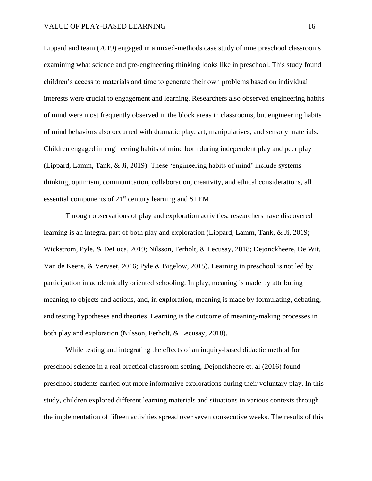Lippard and team (2019) engaged in a mixed-methods case study of nine preschool classrooms examining what science and pre-engineering thinking looks like in preschool. This study found children's access to materials and time to generate their own problems based on individual interests were crucial to engagement and learning. Researchers also observed engineering habits of mind were most frequently observed in the block areas in classrooms, but engineering habits of mind behaviors also occurred with dramatic play, art, manipulatives, and sensory materials. Children engaged in engineering habits of mind both during independent play and peer play (Lippard, Lamm, Tank, & Ji, 2019). These 'engineering habits of mind' include systems thinking, optimism, communication, collaboration, creativity, and ethical considerations, all essential components of 21<sup>st</sup> century learning and STEM.

Through observations of play and exploration activities, researchers have discovered learning is an integral part of both play and exploration (Lippard, Lamm, Tank, & Ji, 2019; Wickstrom, Pyle, & DeLuca, 2019; Nilsson, Ferholt, & Lecusay, 2018; Dejonckheere, De Wit, Van de Keere, & Vervaet, 2016; Pyle & Bigelow, 2015). Learning in preschool is not led by participation in academically oriented schooling. In play, meaning is made by attributing meaning to objects and actions, and, in exploration, meaning is made by formulating, debating, and testing hypotheses and theories. Learning is the outcome of meaning-making processes in both play and exploration (Nilsson, Ferholt, & Lecusay, 2018).

While testing and integrating the effects of an inquiry-based didactic method for preschool science in a real practical classroom setting, Dejonckheere et. al (2016) found preschool students carried out more informative explorations during their voluntary play. In this study, children explored different learning materials and situations in various contexts through the implementation of fifteen activities spread over seven consecutive weeks. The results of this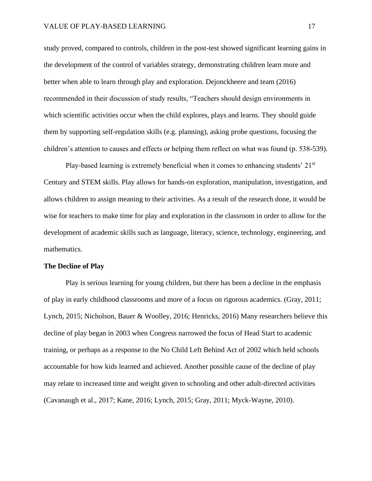study proved, compared to controls, children in the post-test showed significant learning gains in the development of the control of variables strategy, demonstrating children learn more and better when able to learn through play and exploration. Dejonckheere and team (2016) recommended in their discussion of study results, "Teachers should design environments in which scientific activities occur when the child explores, plays and learns. They should guide them by supporting self-regulation skills (e.g. planning), asking probe questions, focusing the children's attention to causes and effects or helping them reflect on what was found (p. 538-539).

Play-based learning is extremely beneficial when it comes to enhancing students'  $21<sup>st</sup>$ Century and STEM skills. Play allows for hands-on exploration, manipulation, investigation, and allows children to assign meaning to their activities. As a result of the research done, it would be wise for teachers to make time for play and exploration in the classroom in order to allow for the development of academic skills such as language, literacy, science, technology, engineering, and mathematics.

#### **The Decline of Play**

Play is serious learning for young children, but there has been a decline in the emphasis of play in early childhood classrooms and more of a focus on rigorous academics. (Gray, 2011; Lynch, 2015; Nicholson, Bauer & Woolley, 2016; Henricks, 2016) Many researchers believe this decline of play began in 2003 when Congress narrowed the focus of Head Start to academic training, or perhaps as a response to the No Child Left Behind Act of 2002 which held schools accountable for how kids learned and achieved. Another possible cause of the decline of play may relate to increased time and weight given to schooling and other adult-directed activities (Cavanaugh et al., 2017; Kane, 2016; Lynch, 2015; Gray, 2011; Myck-Wayne, 2010).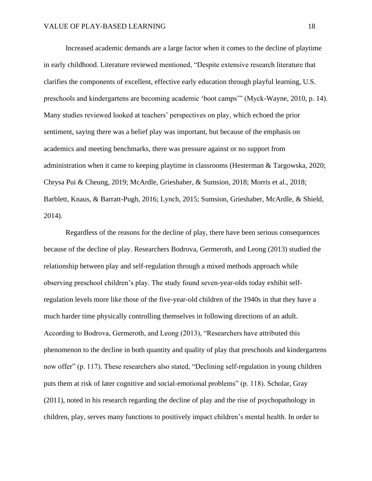Increased academic demands are a large factor when it comes to the decline of playtime in early childhood. Literature reviewed mentioned, "Despite extensive research literature that clarifies the components of excellent, effective early education through playful learning, U.S. preschools and kindergartens are becoming academic 'boot camps'" (Myck-Wayne, 2010, p. 14). Many studies reviewed looked at teachers' perspectives on play, which echoed the prior sentiment, saying there was a belief play was important, but because of the emphasis on academics and meeting benchmarks, there was pressure against or no support from administration when it came to keeping playtime in classrooms (Hesterman & Targowska, 2020; Chrysa Pui & Cheung, 2019; McArdle, Grieshaber, & Sumsion, 2018; Morris et al., 2018; Barblett, Knaus, & Barratt-Pugh, 2016; Lynch, 2015; Sumsion, Grieshaber, McArdle, & Shield, 2014).

Regardless of the reasons for the decline of play, there have been serious consequences because of the decline of play. Researchers Bodrova, Germeroth, and Leong (2013) studied the relationship between play and self-regulation through a mixed methods approach while observing preschool children's play. The study found seven-year-olds today exhibit selfregulation levels more like those of the five-year-old children of the 1940s in that they have a much harder time physically controlling themselves in following directions of an adult. According to Bodrova, Germeroth, and Leong (2013), "Researchers have attributed this phenomenon to the decline in both quantity and quality of play that preschools and kindergartens now offer" (p. 117). These researchers also stated, "Declining self-regulation in young children puts them at risk of later cognitive and social-emotional problems" (p. 118). Scholar, Gray (2011), noted in his research regarding the decline of play and the rise of psychopathology in children, play, serves many functions to positively impact children's mental health. In order to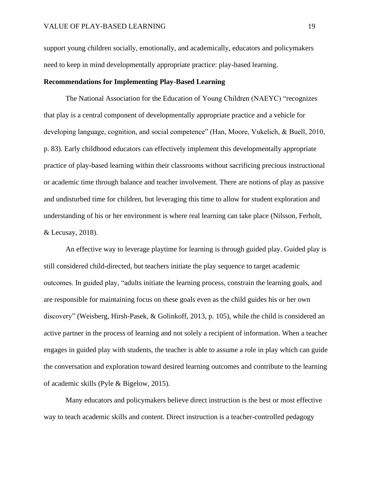support young children socially, emotionally, and academically, educators and policymakers need to keep in mind developmentally appropriate practice: play-based learning.

#### **Recommendations for Implementing Play-Based Learning**

The National Association for the Education of Young Children (NAEYC) "recognizes that play is a central component of developmentally appropriate practice and a vehicle for developing language, cognition, and social competence" (Han, Moore, Vukelich, & Buell, 2010, p. 83). Early childhood educators can effectively implement this developmentally appropriate practice of play-based learning within their classrooms without sacrificing precious instructional or academic time through balance and teacher involvement. There are notions of play as passive and undisturbed time for children, but leveraging this time to allow for student exploration and understanding of his or her environment is where real learning can take place (Nilsson, Ferholt, & Lecusay, 2018).

An effective way to leverage playtime for learning is through guided play. Guided play is still considered child-directed, but teachers initiate the play sequence to target academic outcomes. In guided play, "adults initiate the learning process, constrain the learning goals, and are responsible for maintaining focus on these goals even as the child guides his or her own discovery" (Weisberg, Hirsh-Pasek, & Golinkoff, 2013, p. 105), while the child is considered an active partner in the process of learning and not solely a recipient of information. When a teacher engages in guided play with students, the teacher is able to assume a role in play which can guide the conversation and exploration toward desired learning outcomes and contribute to the learning of academic skills (Pyle & Bigelow, 2015).

Many educators and policymakers believe direct instruction is the best or most effective way to teach academic skills and content. Direct instruction is a teacher-controlled pedagogy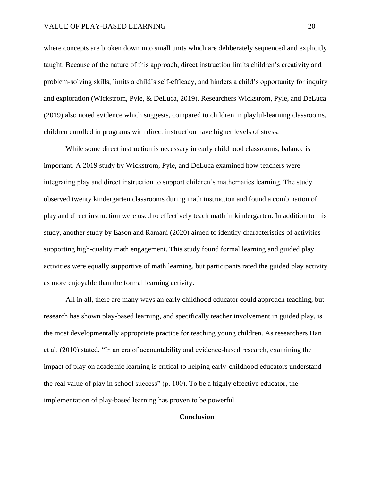where concepts are broken down into small units which are deliberately sequenced and explicitly taught. Because of the nature of this approach, direct instruction limits children's creativity and problem-solving skills, limits a child's self-efficacy, and hinders a child's opportunity for inquiry and exploration (Wickstrom, Pyle, & DeLuca, 2019). Researchers Wickstrom, Pyle, and DeLuca (2019) also noted evidence which suggests, compared to children in playful-learning classrooms, children enrolled in programs with direct instruction have higher levels of stress.

While some direct instruction is necessary in early childhood classrooms, balance is important. A 2019 study by Wickstrom, Pyle, and DeLuca examined how teachers were integrating play and direct instruction to support children's mathematics learning. The study observed twenty kindergarten classrooms during math instruction and found a combination of play and direct instruction were used to effectively teach math in kindergarten. In addition to this study, another study by Eason and Ramani (2020) aimed to identify characteristics of activities supporting high-quality math engagement. This study found formal learning and guided play activities were equally supportive of math learning, but participants rated the guided play activity as more enjoyable than the formal learning activity.

All in all, there are many ways an early childhood educator could approach teaching, but research has shown play-based learning, and specifically teacher involvement in guided play, is the most developmentally appropriate practice for teaching young children. As researchers Han et al. (2010) stated, "In an era of accountability and evidence-based research, examining the impact of play on academic learning is critical to helping early-childhood educators understand the real value of play in school success" (p. 100). To be a highly effective educator, the implementation of play-based learning has proven to be powerful.

#### **Conclusion**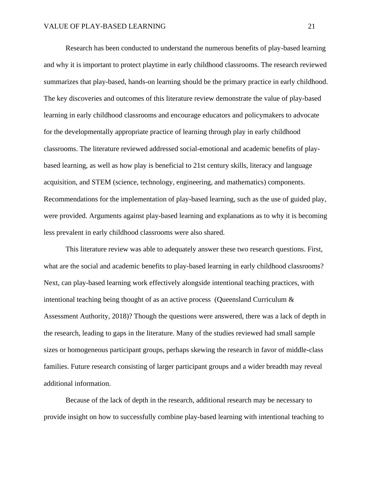Research has been conducted to understand the numerous benefits of play-based learning and why it is important to protect playtime in early childhood classrooms. The research reviewed summarizes that play-based, hands-on learning should be the primary practice in early childhood. The key discoveries and outcomes of this literature review demonstrate the value of play-based learning in early childhood classrooms and encourage educators and policymakers to advocate for the developmentally appropriate practice of learning through play in early childhood classrooms. The literature reviewed addressed social-emotional and academic benefits of playbased learning, as well as how play is beneficial to 21st century skills, literacy and language acquisition, and STEM (science, technology, engineering, and mathematics) components. Recommendations for the implementation of play-based learning, such as the use of guided play, were provided. Arguments against play-based learning and explanations as to why it is becoming less prevalent in early childhood classrooms were also shared.

This literature review was able to adequately answer these two research questions. First, what are the social and academic benefits to play-based learning in early childhood classrooms? Next, can play-based learning work effectively alongside intentional teaching practices, with intentional teaching being thought of as an active process (Queensland Curriculum  $\&$ Assessment Authority, 2018)? Though the questions were answered, there was a lack of depth in the research, leading to gaps in the literature. Many of the studies reviewed had small sample sizes or homogeneous participant groups, perhaps skewing the research in favor of middle-class families. Future research consisting of larger participant groups and a wider breadth may reveal additional information.

Because of the lack of depth in the research, additional research may be necessary to provide insight on how to successfully combine play-based learning with intentional teaching to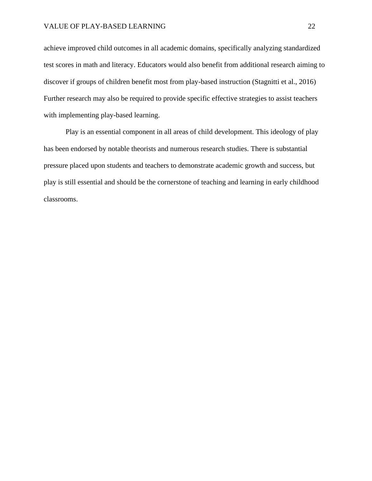achieve improved child outcomes in all academic domains, specifically analyzing standardized test scores in math and literacy. Educators would also benefit from additional research aiming to discover if groups of children benefit most from play-based instruction (Stagnitti et al., 2016) Further research may also be required to provide specific effective strategies to assist teachers with implementing play-based learning.

Play is an essential component in all areas of child development. This ideology of play has been endorsed by notable theorists and numerous research studies. There is substantial pressure placed upon students and teachers to demonstrate academic growth and success, but play is still essential and should be the cornerstone of teaching and learning in early childhood classrooms.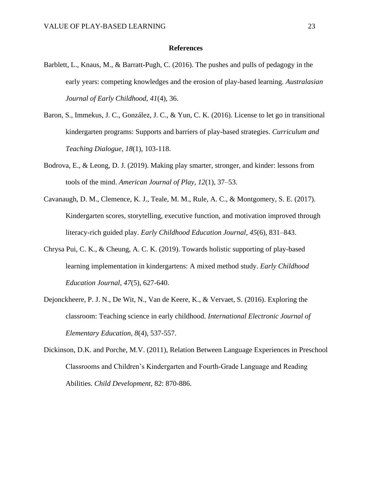#### **References**

- Barblett, L., Knaus, M., & Barratt-Pugh, C. (2016). The pushes and pulls of pedagogy in the early years: competing knowledges and the erosion of play-based learning. *Australasian Journal of Early Childhood*, *41*(4), 36.
- Baron, S., Immekus, J. C., González, J. C., & Yun, C. K. (2016). License to let go in transitional kindergarten programs: Supports and barriers of play-based strategies. *Curriculum and Teaching Dialogue, 18*(1), 103-118.
- Bodrova, E., & Leong, D. J. (2019). Making play smarter, stronger, and kinder: lessons from tools of the mind. *American Journal of Play, 12*(1), 37–53.
- Cavanaugh, D. M., Clemence, K. J., Teale, M. M., Rule, A. C., & Montgomery, S. E. (2017). Kindergarten scores, storytelling, executive function, and motivation improved through literacy-rich guided play. *Early Childhood Education Journal*, *45*(6), 831–843.
- Chrysa Pui, C. K., & Cheung, A. C. K. (2019). Towards holistic supporting of play-based learning implementation in kindergartens: A mixed method study. *Early Childhood Education Journal, 47*(5), 627-640.
- Dejonckheere, P. J. N., De Wit, N., Van de Keere, K., & Vervaet, S. (2016). Exploring the classroom: Teaching science in early childhood. *International Electronic Journal of Elementary Education, 8*(4), 537-557.
- Dickinson, D.K. and Porche, M.V. (2011), Relation Between Language Experiences in Preschool Classrooms and Children's Kindergarten and Fourth‐Grade Language and Reading Abilities. *Child Development,* 82: 870-886.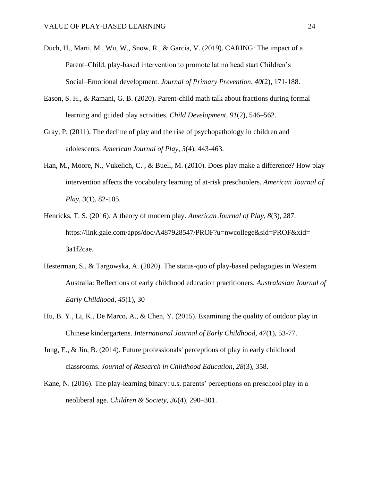- Duch, H., Marti, M., Wu, W., Snow, R., & Garcia, V. (2019). CARING: The impact of a Parent–Child, play-based intervention to promote latino head start Children's Social–Emotional development. *Journal of Primary Prevention, 40*(2), 171-188.
- Eason, S. H., & Ramani, G. B. (2020). Parent-child math talk about fractions during formal learning and guided play activities. *Child Development*, *91*(2), 546–562.
- Gray, P. (2011). The decline of play and the rise of psychopathology in children and adolescents. *American Journal of Play, 3*(4), 443-463.
- Han, M., Moore, N., Vukelich, C. , & Buell, M. (2010). Does play make a difference? How play intervention affects the vocabulary learning of at-risk preschoolers. *American Journal of Play, 3*(1), 82-105.
- Henricks, T. S. (2016). A theory of modern play. *American Journal of Play*, *8*(3), 287. https://link.gale.com/apps/doc/A487928547/PROF?u=nwcollege&sid=PROF&xid= 3a1f2cae.
- Hesterman, S., & Targowska, A. (2020). The status-quo of play-based pedagogies in Western Australia: Reflections of early childhood education practitioners. *Australasian Journal of Early Childhood*, *45*(1), 30
- Hu, B. Y., Li, K., De Marco, A., & Chen, Y. (2015). Examining the quality of outdoor play in Chinese kindergartens. *International Journal of Early Childhood, 47*(1), 53-77.
- Jung, E., & Jin, B. (2014). Future professionals' perceptions of play in early childhood classrooms. *Journal of Research in Childhood Education*, *28*(3), 358.
- Kane, N. (2016). The play-learning binary: u.s. parents' perceptions on preschool play in a neoliberal age. *Children & Society*, *30*(4), 290–301.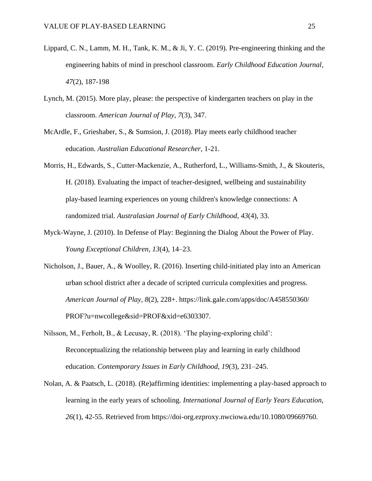- Lippard, C. N., Lamm, M. H., Tank, K. M., & Ji, Y. C. (2019). Pre-engineering thinking and the engineering habits of mind in preschool classroom. *Early Childhood Education Journal, 47*(2), 187-198
- Lynch, M. (2015). More play, please: the perspective of kindergarten teachers on play in the classroom. *American Journal of Play*, *7*(3), 347.
- McArdle, F., Grieshaber, S., & Sumsion, J. (2018). Play meets early childhood teacher education. *Australian Educational Researcher*, 1-21.
- Morris, H., Edwards, S., Cutter-Mackenzie, A., Rutherford, L., Williams-Smith, J., & Skouteris, H. (2018). Evaluating the impact of teacher-designed, wellbeing and sustainability play-based learning experiences on young children's knowledge connections: A randomized trial. *Australasian Journal of Early Childhood*, *43*(4), 33.
- Myck-Wayne, J. (2010). In Defense of Play: Beginning the Dialog About the Power of Play. *Young Exceptional Children*, *13*(4), 14–23.
- Nicholson, J., Bauer, A., & Woolley, R. (2016). Inserting child-initiated play into an American urban school district after a decade of scripted curricula complexities and progress. *American Journal of Play*, *8*(2), 228+. https://link.gale.com/apps/doc/A458550360/ PROF?u=nwcollege&sid=PROF&xid=e6303307.
- Nilsson, M., Ferholt, B., & Lecusay, R. (2018). 'The playing-exploring child': Reconceptualizing the relationship between play and learning in early childhood education. *Contemporary Issues in Early Childhood, 19*(3), 231–245.
- Nolan, A. & Paatsch, L. (2018). (Re)affirming identities: implementing a play-based approach to learning in the early years of schooling. *International Journal of Early Years Education, 26*(1), 42-55. Retrieved from https://doi-org.ezproxy.nwciowa.edu/10.1080/09669760.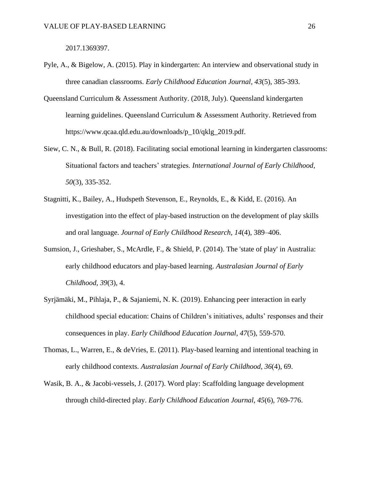2017.1369397.

- Pyle, A., & Bigelow, A. (2015). Play in kindergarten: An interview and observational study in three canadian classrooms. *Early Childhood Education Journal, 43*(5), 385-393.
- Queensland Curriculum & Assessment Authority. (2018, July). Queensland kindergarten learning guidelines. Queensland Curriculum & Assessment Authority. Retrieved from https://www.qcaa.qld.edu.au/downloads/p\_10/qklg\_2019.pdf.
- Siew, C. N., & Bull, R. (2018). Facilitating social emotional learning in kindergarten classrooms: Situational factors and teachers' strategies. *International Journal of Early Childhood, 50*(3), 335-352.
- Stagnitti, K., Bailey, A., Hudspeth Stevenson, E., Reynolds, E., & Kidd, E. (2016). An investigation into the effect of play-based instruction on the development of play skills and oral language. *Journal of Early Childhood Research*, *14*(4), 389–406.
- Sumsion, J., Grieshaber, S., McArdle, F., & Shield, P. (2014). The 'state of play' in Australia: early childhood educators and play-based learning. *Australasian Journal of Early Childhood*, *39*(3), 4.
- Syrjämäki, M., Pihlaja, P., & Sajaniemi, N. K. (2019). Enhancing peer interaction in early childhood special education: Chains of Children's initiatives, adults' responses and their consequences in play. *Early Childhood Education Journal, 47*(5), 559-570.
- Thomas, L., Warren, E., & deVries, E. (2011). Play-based learning and intentional teaching in early childhood contexts. *Australasian Journal of Early Childhood*, *36*(4), 69.
- Wasik, B. A., & Jacobi-vessels, J. (2017). Word play: Scaffolding language development through child-directed play. *Early Childhood Education Journal, 45*(6), 769-776.